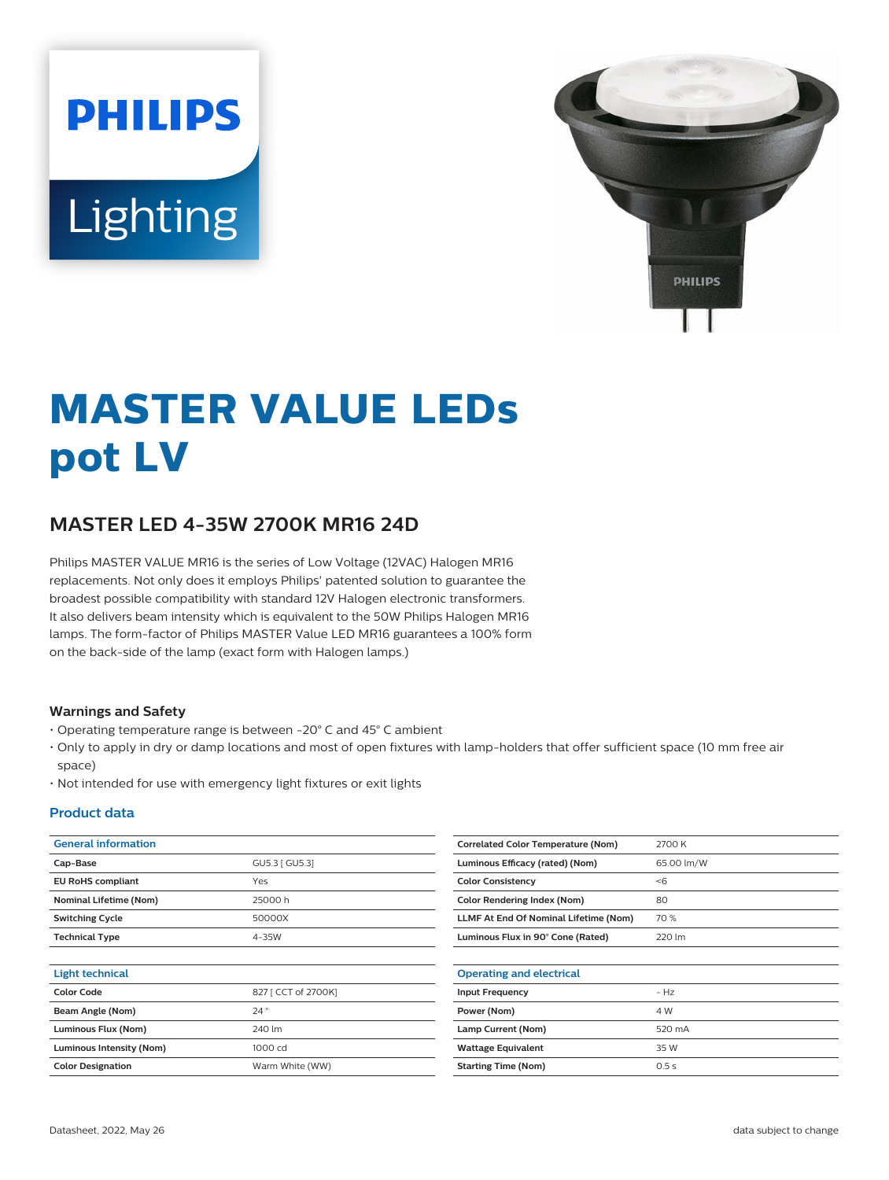# **PHILIPS** Lighting



# **MASTER VALUE LEDs pot LV**

# **MASTER LED 4-35W 2700K MR16 24D**

Philips MASTER VALUE MR16 is the series of Low Voltage (12VAC) Halogen MR16 replacements. Not only does it employs Philips' patented solution to guarantee the broadest possible compatibility with standard 12V Halogen electronic transformers. It also delivers beam intensity which is equivalent to the 50W Philips Halogen MR16 lamps. The form-factor of Philips MASTER Value LED MR16 guarantees a 100% form on the back-side of the lamp (exact form with Halogen lamps.)

#### **Warnings and Safety**

- Operating temperature range is between -20° C and 45° C ambient
- Only to apply in dry or damp locations and most of open fixtures with lamp-holders that offer sufficient space (10 mm free air space)
- Not intended for use with emergency light fixtures or exit lights

#### **Product data**

| <b>General information</b>    |                     | Correlated          |
|-------------------------------|---------------------|---------------------|
| Cap-Base                      | GU5.3   GU5.3]      | <b>Luminous B</b>   |
| <b>EU RoHS compliant</b>      | Yes                 | <b>Color Cons</b>   |
| <b>Nominal Lifetime (Nom)</b> | 25000h              | <b>Color Rend</b>   |
| <b>Switching Cycle</b>        | 50000X              | <b>LLMF At Er</b>   |
| <b>Technical Type</b>         | 4-35W               | <b>Luminous F</b>   |
| <b>Light technical</b>        |                     | Operating           |
| <b>Color Code</b>             | 827 [ CCT of 2700K] | <b>Input Frequ</b>  |
| Beam Angle (Nom)              | 24°                 | Power (Nor          |
| Luminous Flux (Nom)           | 240 lm              | Lamp Curre          |
| Luminous Intensity (Nom)      | 1000 cd             | <b>Wattage E</b>    |
| <b>Color Designation</b>      | Warm White (WW)     | <b>Starting Tir</b> |
|                               |                     |                     |

| <b>Correlated Color Temperature (Nom)</b> | 2700 K     |
|-------------------------------------------|------------|
| Luminous Efficacy (rated) (Nom)           | 65.00 lm/W |
| <b>Color Consistency</b>                  | < 6        |
| Color Rendering Index (Nom)               | 80         |
| LLMF At End Of Nominal Lifetime (Nom)     | 70 %       |
| Luminous Flux in 90° Cone (Rated)         | 220 lm     |
|                                           |            |
| <b>Operating and electrical</b>           |            |
| <b>Input Frequency</b>                    | $- Hz$     |
| Power (Nom)                               | 4 W        |
| Lamp Current (Nom)                        | 520 mA     |
| <b>Wattage Equivalent</b>                 | 35 W       |
| <b>Starting Time (Nom)</b>                | 0.5s       |
|                                           |            |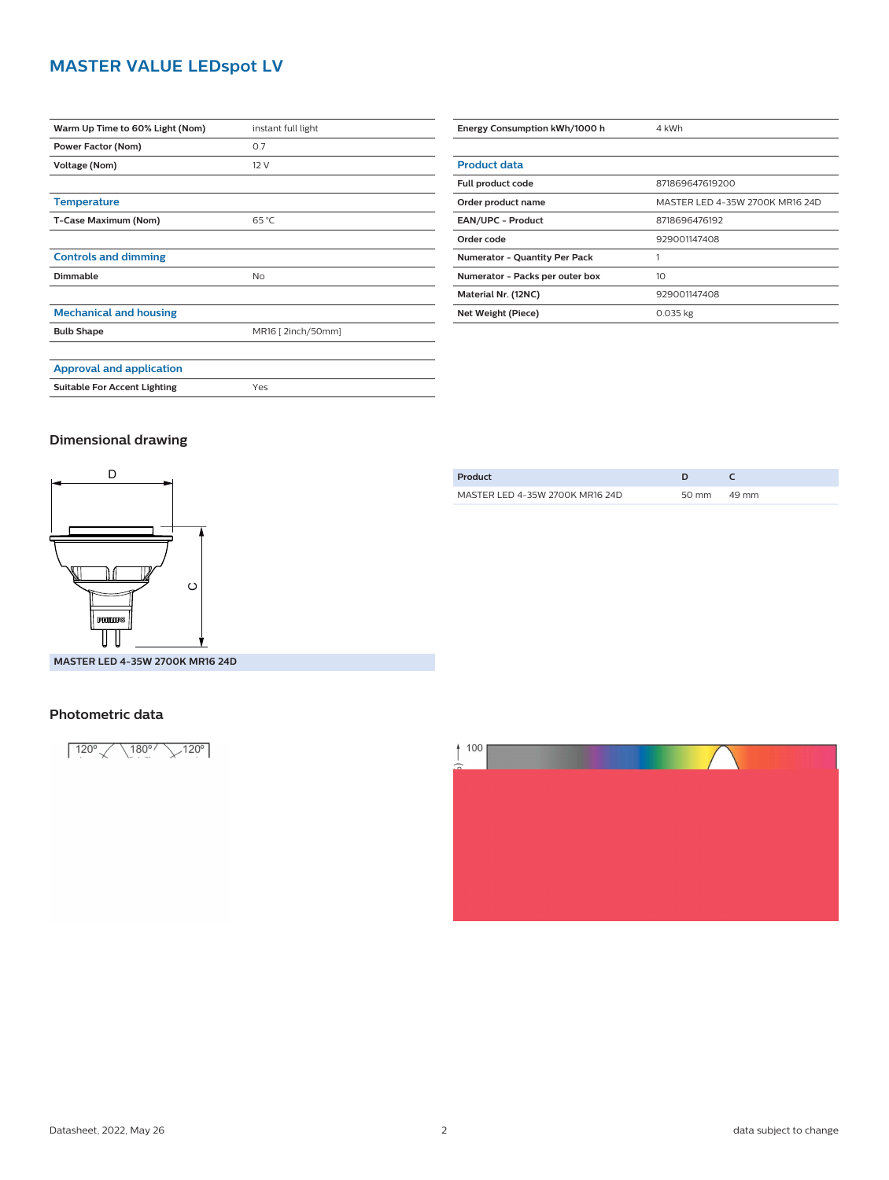## **MASTER VALUE LEDspot LV**

| Warm Up Time to 60% Light (Nom)     | instant full light |
|-------------------------------------|--------------------|
| Power Factor (Nom)                  | 0.7                |
| Voltage (Nom)                       | 12 V               |
|                                     |                    |
| <b>Temperature</b>                  |                    |
| T-Case Maximum (Nom)                | $65^{\circ}$ C     |
|                                     |                    |
| <b>Controls and dimming</b>         |                    |
| Dimmable                            | No                 |
|                                     |                    |
| <b>Mechanical and housing</b>       |                    |
| <b>Bulb Shape</b>                   | MR16 [ 2inch/50mm] |
|                                     |                    |
| <b>Approval and application</b>     |                    |
| <b>Suitable For Accent Lighting</b> | Yes                |

| Energy Consumption kWh/1000 h        | 4 kWh                           |
|--------------------------------------|---------------------------------|
|                                      |                                 |
| <b>Product data</b>                  |                                 |
| Full product code                    | 871869647619200                 |
| Order product name                   | MASTER LED 4-35W 2700K MR16 24D |
| <b>EAN/UPC - Product</b>             | 8718696476192                   |
| Order code                           | 929001147408                    |
| <b>Numerator - Quantity Per Pack</b> |                                 |
| Numerator - Packs per outer box      | 10                              |
| Material Nr. (12NC)                  | 929001147408                    |
| Net Weight (Piece)                   | $0.035$ kg                      |

#### **Dimensional drawing**



**MASTER LED 4-35W 2700K MR16 24D**

#### **Photometric data**

 $120^{\circ}$  \ 180° \ 120°





Datasheet, 2022, May 26 2 data subject to change